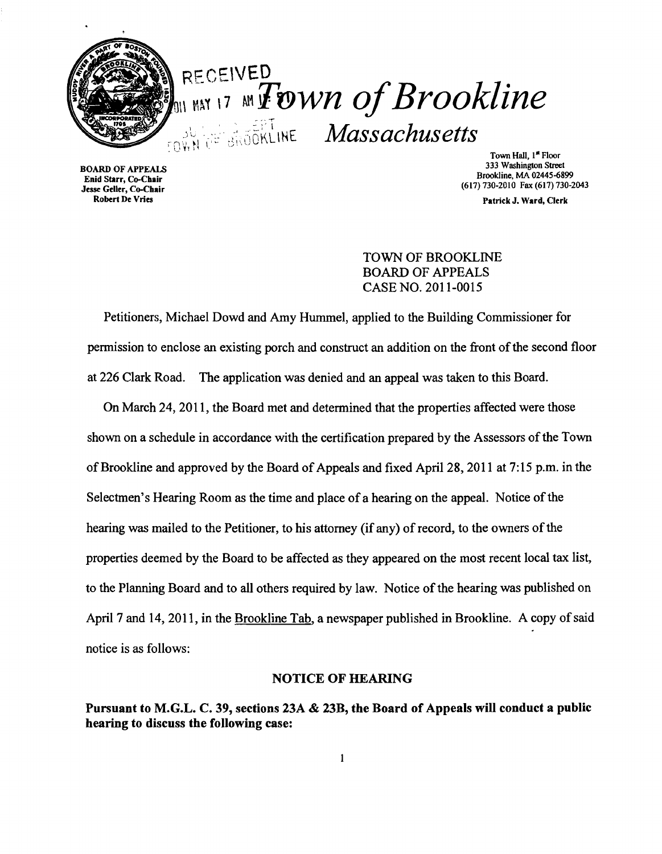

# **RECEIVED**  $_{\text{min max 17}}$   $_{\text{M}}$   $\bm{F}$  gwn of Brookline **EXPLISION AND SUBARISM Massachusetts**

Town Hall, 1<sup>st</sup> Floor<br>333 Washington Street 333 Washington Street BOARD OF APPEALS 333 Washington Street Bookline, MA 02445-6899<br>
Brookline, MA 02445-6899 Brookline, MA 02445-6899 Brookline, MA 02445-6899 Jesse Geller, Co-Chair (617) 730-2010 Fax (617) 730-2010 Fax

Robert De Vries **Patrick J. Ward, Clerk** Clerk (Patrick J. Ward, Clerk Patrick J. Ward, Clerk

# TOWN OF BROOKLINE BOARD OF APPEALS CASE NO. 2011-0015

Petitioners, Michael Dowd and Amy Hummel, applied to the Building Commissioner for permission to enclose an existing porch and construct an addition on the front of the second floor at 226 Clark Road. The application was denied and an appeal was taken to this Board.

On March 24, 2011, the Board met and determined that the properties affected were those shown on a schedule in accordance with the certification prepared by the Assessors of the Town of Brookline and approved by the Board of Appeals and fixed April 28, 2011 at 7:15 p.m. in the Selectmen's Hearing Room as the time and place of a hearing on the appeal. Notice of the hearing was mailed to the Petitioner, to his attorney (if any) of record, to the owners of the properties deemed by the Board to be affected as they appeared on the most recent local tax list, to the Planning Board and to all others required by law. Notice of the hearing was published on April 7 and 14, 2011, in the Brookline Tab, a newspaper published in Brookline. A copy of said notice is as follows:

#### NOTICE OF HEARING

Pursuant to M.G.L. C. 39, sections 23A & 23B, the Board of Appeals will conduct a public hearing to discuss the following case: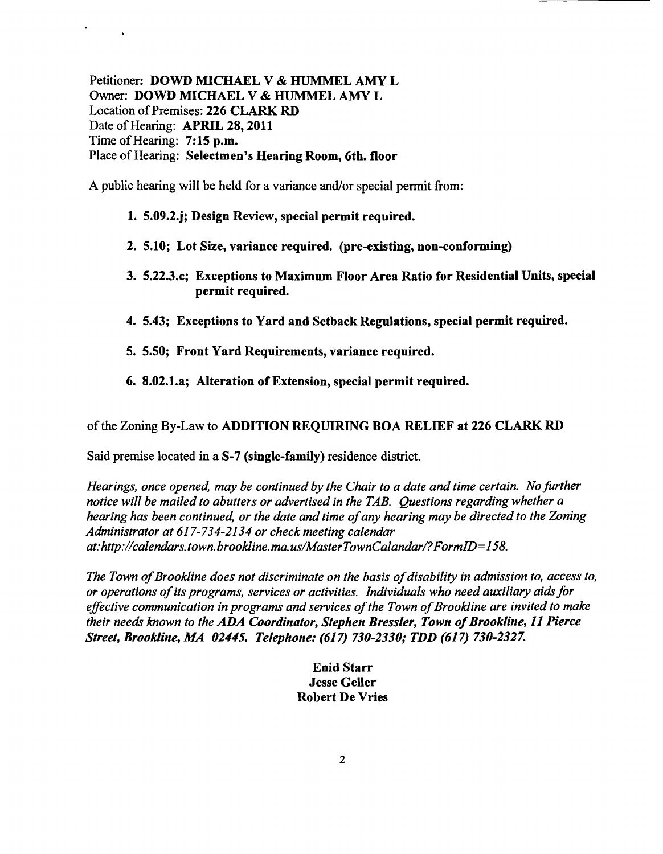Petitioner: DOWD MICHAEL V & HUMMEL AMY L Owner: DOWD MICHAEL V & HUMMEL AMY L Location of Premises: 226 CLARK RD Date of Hearing: APRIL 28, 2011 Time of Hearing: 7:15 p.m. Place of Hearing: Selectmen's Hearing Room, 6th. floor

A public hearing will be held for a variance and/or special permit from:

## 1. 5.09.2.j; Design Review, special permit required.

- 2. 5.10; Lot Size, variance required. (pre-existing, non-conforming)
- 3. 5.22.3.c; Exceptions to Maximum Floor Area Ratio for Residential Units, special permit required.
- 4. 5.43; Exceptions to Yard and Setback Regulations, special permit required.
- 5. 5.50; Front Yard Requirements, variance required.
- 6. 8.02.1.a; Alteration of Extension, special permit required.

ofthe Zoning By-Law to ADDITION REQUIRING BOA RELIEF at 226 CLARK RD

Said premise located in a S-7 (single-family) residence district.

*Hearings, once opened, may be continued by the Chair to a date and time certain. No further notice will be mailed to abutters or advertised in the TAB. Questions regarding whether a hearing has been continued, or the date and time ofany hearing may be directed to the Zoning Administrator at* 617-734-2134 *or check meeting calendar at:http://calendars.town.brookline.ma.usIMasterTownCalandarl?FormID=158.* 

*The Town of Brookline does not discriminate on the basis of disability in admission to, access to, or operations ofits programs, services or activities. Individuals who need auxiliary aids for*  effective communication in programs and services of the Town of Brookline are invited to make *their needs known to the* ADA *Coordinator, Stephen Bressler, Town ofBrookline,* 11 *Pierce Street, Brookline, MA 02445. Telephone:* (617) *730-2330; TDD* (617) *730-2327.* 

> Enid Starr Jesse Geller Robert De Vries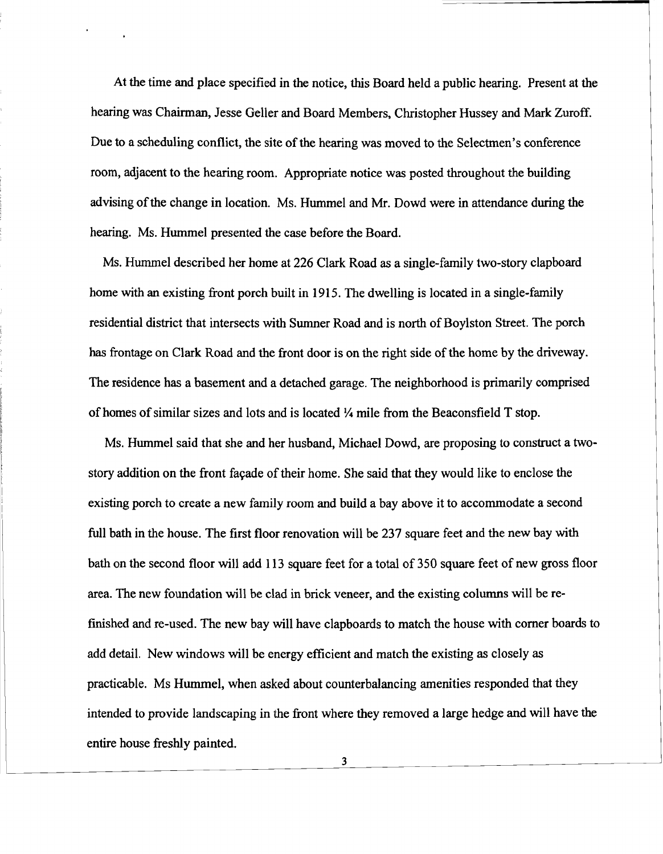At the time and place specified in the notice, this Board held a public hearing. Present at the hearing was Chairman, Jesse Geller and Board Members, Christopher Hussey and Mark Zuroff. Due to a scheduling conflict, the site of the hearing was moved to the Selectmen's conference room, adjacent to the hearing room. Appropriate notice was posted throughout the building advising of the change in location. Ms. Hummel and Mr. Dowd were in attendance during the hearing. Ms. Hummel presented the case before the Board.

Ms. Hummel described her home at 226 Clark Road as a single-family two-story clapboard home with an existing front porch built in 1915. The dwelling is located in a single-family residential district that intersects with Sumner Road and is north of Boylston Street. The porch has frontage on Clark Road and the front door is on the right side of the home by the driveway. The residence has a basement and a detached garage. The neighborhood is primarily comprised of homes of similar sizes and lots and is located  $\frac{1}{4}$  mile from the Beaconsfield T stop.

Ms. Hummel said that she and her husband, Michael Dowd, are proposing to construct a twostory addition on the front façade of their home. She said that they would like to enclose the existing porch to create a new family room and build a bay above it to accommodate a second full bath in the house. The first floor renovation will be 237 square feet and the new bay with bath on the second floor will add 113 square feet for a total of 350 square feet of new gross floor area. The new foundation will be clad in brick veneer, and the existing columns will be refinished and re-used. The new bay will have clapboards to match the house with comer boards to add detail. New windows will be energy efficient and match the existing as closely as practicable. Ms Hummel, when asked about counterbalancing amenities responded that they intended to provide landscaping in the front where they removed a large hedge and will have the entire house freshly painted.

3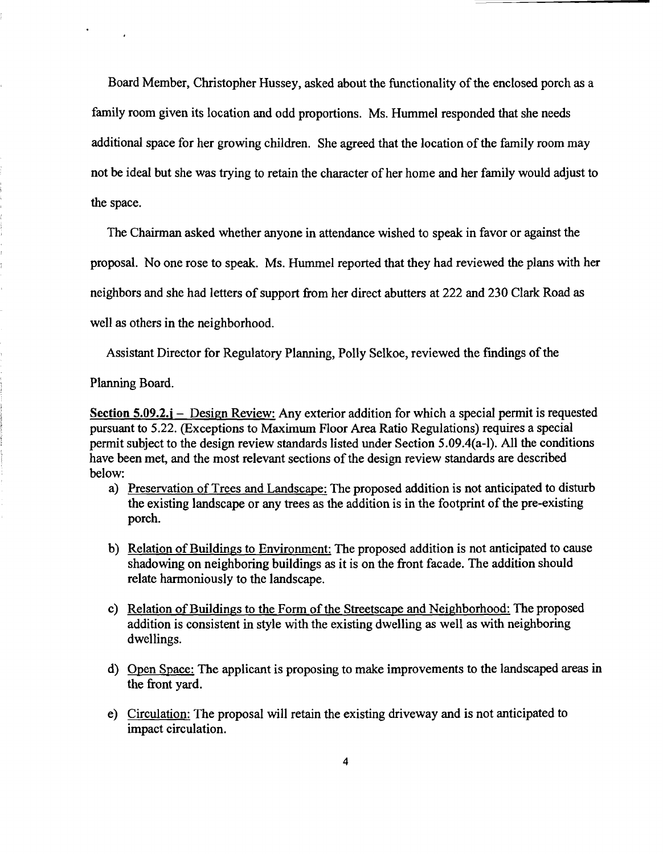Board Member, Christopher Hussey, asked about the functionality of the enclosed porch as a family room given its location and odd proportions. Ms. Hummel responded that she needs additional space for her growing children. She agreed that the location of the family room may not be ideal but she was trying to retain the character of her home and her family would adjust to the space.

The Chairman asked whether anyone in attendance wished to speak in favor or against the proposal. No one rose to speak. Ms. Hummel reported that they had reviewed the plans with her neighbors and she had letters of support from her direct abutters at 222 and 230 Clark Road as well as others in the neighborhood.

Assistant Director for Regulatory Planning, Polly Selkoe, reviewed the findings of the

Planning Board.

Section 5.09.2.j – Design Review: Any exterior addition for which a special permit is requested pursuant to 5.22. (Exceptions to Maximum Floor Area Ratio Regulations) requires a special permit subject to the design review standards listed under Section 5.09.4(a-I). All the conditions have been met, and the most relevant sections of the design review standards are described below:

- a) Preservation of Trees and Landscape: The proposed addition is not anticipated to disturb the existing landscape or any trees as the addition is in the footprint of the pre-existing porch.
- b) Relation of Buildings to Environment: The proposed addition is not anticipated to cause shadowing on neighboring buildings as it is on the front facade. The addition should relate harmoniously to the landscape.
- c) Relation of Buildings to the Form of the Streetscape and Neighborhood: The proposed addition is consistent in style with the existing dwelling as well as with neighboring dwellings.
- d) Open Space: The applicant is proposing to make improvements to the landscaped areas in the front yard.
- e) Circulation: The proposal will retain the existing driveway and is not anticipated to impact circulation.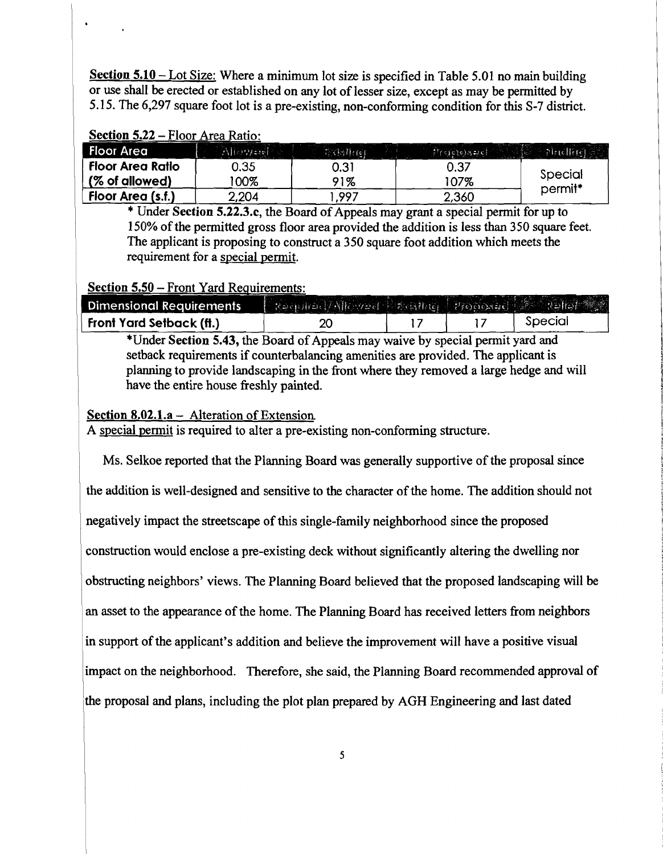Section 5.10 – Lot Size: Where a minimum lot size is specified in Table 5.01 no main building or use shall be erected or established on any lot of lesser size, except as may be permitted by 5.15. The 6,297 square foot lot is a pre-existing, non-conforming condition for this S-7 district.

| Section 5.22 – Floor Area Ratio: |                |              |                           |                    |  |  |  |
|----------------------------------|----------------|--------------|---------------------------|--------------------|--|--|--|
| <b>Floor Area</b>                | $A$ liery sief | े (डिमें १६१ | $P(\epsilon)$ ere) $\leq$ | <b>Pinelline</b>   |  |  |  |
| Floor Area Ratio                 | 0.35           | 0.31         | 0.37                      |                    |  |  |  |
| $ $ (% of allowed)               | $00\%$         | 91%          | 107%                      | Special<br>permit* |  |  |  |
| Floor Area (s.f.)                | 2,204          | .997         | 2,360                     |                    |  |  |  |

\* Under Section 5.22.3.c, the Board ofAppeals may grant a special permit for up to 150% of the permitted gross floor area provided the addition is less than 350 square feet. The applicant is proposing to construct a 350 square foot addition which meets the requirement for a special permit.

## Section 5.50 - Front Yard Requirements:

| <b>Dimensional Requirements</b> | Required/Allowed Editing Proposed Search |  |         |
|---------------------------------|------------------------------------------|--|---------|
| <b>Front Yard Setback (ft.)</b> |                                          |  | Special |

\*Under Section 5.43, the Board ofAppeals may waive by special permit yard and setback requirements if counterbalancing amenities are provided. The applicant is planning to provide landscaping in the front where they removed a large hedge and will have the entire house freshly painted.

#### Section 8.02.1.a - Alteration of Extension.

A special permit is required to alter a pre-existing non-conforming structure.

Ms. Selkoe reported that the Planning Board was generally supportive of the proposal since the addition is well-designed and sensitive to the character of the home. The addition should not negatively impact the streetscape of this single-family neighborhood since the proposed construction would enclose a pre-existing deck without significantly altering the dwelling nor obstructing neighbors' views. The Planning Board believed that the proposed landscaping will be an asset to the appearance of the home. The Planning Board has received letters from neighbors in support of the applicant's addition and believe the improvement will have a positive visual impact on the neighborhood. Therefore, she said, the Planning Board recommended approval of the proposal and plans, including the plot plan prepared by AGH Engineering and last dated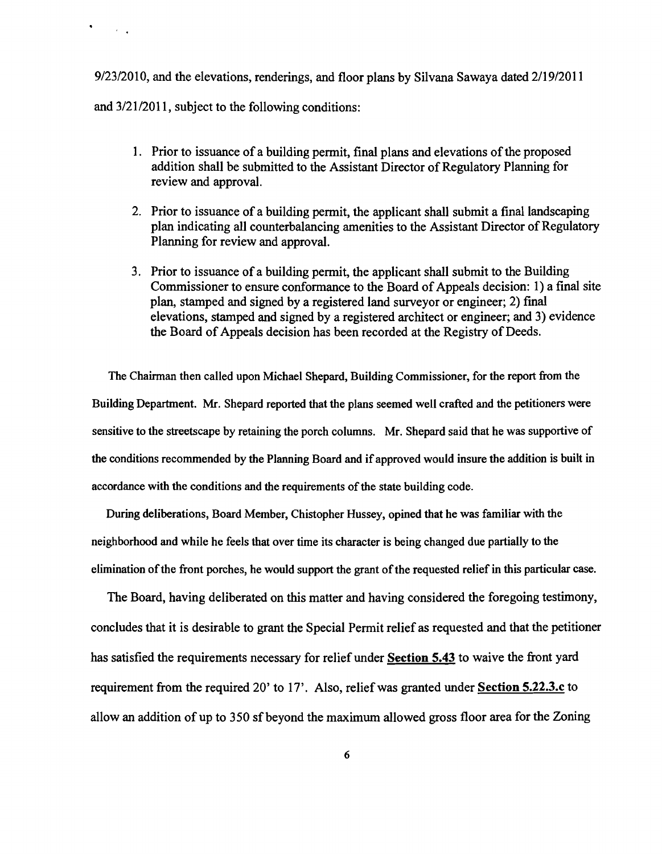9/23/2010, and the elevations, renderings, and floor plans by Silvana Sawaya dated 2/19/2011 and 3/21/2011, subject to the following conditions:

 $\mathcal{A}^{\mathcal{A}}$  ,  $\mathcal{A}^{\mathcal{A}}$ 

- 1. Prior to issuance of a building permit, final plans and elevations of the proposed addition shall be submitted to the Assistant Director of Regulatory Planning for review and approval.
- 2. Prior to issuance of a building permit, the applicant shall submit a final landscaping plan indicating all counterbalancing amenities to the Assistant Director of Regulatory Planning for review and approval.
- 3. Prior to issuance of a building permit, the applicant shall submit to the Building Commissioner to ensure conformance to the Board of Appeals decision: 1) a final site plan, stamped and signed by a registered land surveyor or engineer; 2) final elevations, stamped and signed by a registered architect or engineer; and 3) evidence the Board of Appeals decision has been recorded at the Registry of Deeds.

The Chairman then called upon Michael Shepard, Building Commissioner, for the report from the Building Department. Mr. Shepard reported that the plans seemed well crafted and the petitioners were sensitive to the streetscape by retaining the porch columns. Mr. Shepard said that he was supportive of the conditions recommended by the Planning Board and ifapproved would insure the addition is built in accordance with the conditions and the requirements of the state building code.

During deliberations, Board Member, Chistopher Hussey, opined that he was familiar with the neighborhood and while he feels that over time its character is being changed due partially to the elimination of the front porches, he would support the grant of the requested relief in this particular case.

The Board, having deliberated on this matter and having considered the foregoing testimony, concludes that it is desirable to grant the Special Permit relief as requested and that the petitioner has satisfied the requirements necessary for relief under Section 5.43 to waive the front yard requirement from the required 20' to 17'. Also, relief was granted under **Section 5.22.3.c** to allow an addition of up to 350 sfbeyond the maximum allowed gross floor area for the Zoning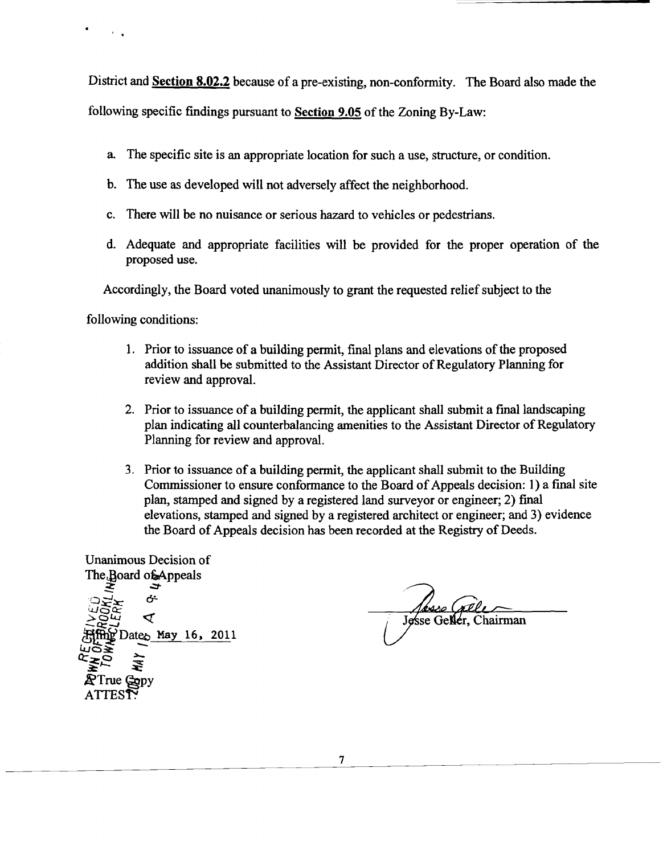District and **Section 8.02.2** because of a pre-existing, non-conformity. The Board also made the following specific findings pursuant to **Section 9.05** of the Zoning By-Law:

- a. The specific site is an appropriate location for such a use, structure, or condition.
- b. The use as developed will not adversely affect the neighborhood.
- c. There will be no nuisance or serious hazard to vehicles or pedestrians.
- d. Adequate and appropriate facilities will be provided for the proper operation of the proposed use.

Accordingly, the Board voted unanimously to grant the requested relief subject to the

following conditions:

- 1. Prior to issuance of a building permit, final plans and elevations of the proposed addition shall be submitted to the Assistant Director of Regulatory Planning for review and approval.
- 2. Prior to issuance of a building permit, the applicant shall submit a final landscaping plan indicating all counterbalancing amenities to the Assistant Director of Regulatory Planning for review and approval.
- 3. Prior to issuance of a building pennit, the applicant shall submit to the Building Commissioner to ensure conformance to the Board of Appeals decision: 1) a final site plan, stamped and signed by a registered land surveyor or engineer; 2) final elevations, stamped and signed by a registered architect or engineer; and 3) evidence the Board of Appeals decision has been recorded at the Registry of Deeds.

Unanimous Decision of The Board of Appeals *.::::r*  $\mathbb{S}^{\mathbf{g}\mathbf{x}}_{\mathbf{x}}$  ,  $\mathbb{S}^{\mathbf{g}}_{\mathbf{x}}$  $\frac{1}{100}$   $\frac{1}{100}$   $\frac{1}{100}$   $\frac{1}{100}$   $\frac{1}{100}$   $\frac{1}{100}$   $\frac{1}{100}$   $\frac{1}{100}$   $\frac{1}{100}$   $\frac{1}{100}$   $\frac{1}{100}$   $\frac{1}{100}$   $\frac{1}{100}$   $\frac{1}{100}$   $\frac{1}{100}$   $\frac{1}{100}$   $\frac{1}{100}$   $\frac{1}{100}$   $\frac{1$ Date $_{\odot}$  May 16, 2011 UO≩<br>C>O ≥ ~"-  $\mathbb{R}$ True  $\mathbb{Q}_{\text{op}}$ ATTES**T**: